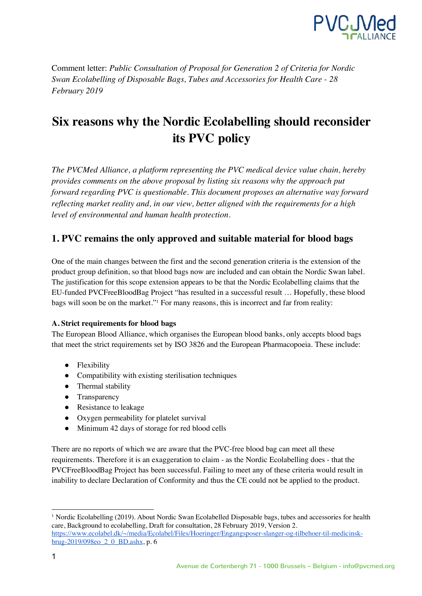

Comment letter: *Public Consultation of Proposal for Generation 2 of Criteria for Nordic Swan Ecolabelling of Disposable Bags, Tubes and Accessories for Health Care - 28 February 2019*

# **Six reasons why the Nordic Ecolabelling should reconsider its PVC policy**

*The PVCMed Alliance, a platform representing the PVC medical device value chain, hereby provides comments on the above proposal by listing six reasons why the approach put forward regarding PVC is questionable. This document proposes an alternative way forward reflecting market reality and, in our view, better aligned with the requirements for a high level of environmental and human health protection.* 

## **1. PVC remains the only approved and suitable material for blood bags**

One of the main changes between the first and the second generation criteria is the extension of the product group definition, so that blood bags now are included and can obtain the Nordic Swan label. The justification for this scope extension appears to be that the Nordic Ecolabelling claims that the EU-funded PVCFreeBloodBag Project "has resulted in a successful result … Hopefully, these blood bags will soon be on the market."<sup>1</sup> For many reasons, this is incorrect and far from reality:

#### **A. Strict requirements for blood bags**

The European Blood Alliance, which organises the European blood banks, only accepts blood bags that meet the strict requirements set by ISO 3826 and the European Pharmacopoeia. These include:

- Flexibility
- Compatibility with existing sterilisation techniques
- Thermal stability
- Transparency
- Resistance to leakage
- Oxygen permeability for platelet survival
- Minimum 42 days of storage for red blood cells

There are no reports of which we are aware that the PVC-free blood bag can meet all these requirements. Therefore it is an exaggeration to claim - as the Nordic Ecolabelling does - that the PVCFreeBloodBag Project has been successful. Failing to meet any of these criteria would result in inability to declare Declaration of Conformity and thus the CE could not be applied to the product.

<sup>&</sup>lt;sup>1</sup> Nordic Ecolabelling (2019). About Nordic Swan Ecolabelled Disposable bags, tubes and accessories for health care, Background to ecolabelling, Draft for consultation, 28 February 2019, Version 2. https://www.ecolabel.dk/~/media/Ecolabel/Files/Hoeringer/Engangsposer-slanger-og-tilbehoer-til-medicinsk-

brug-2019/098eo\_2\_0\_BD.ashx, p. 6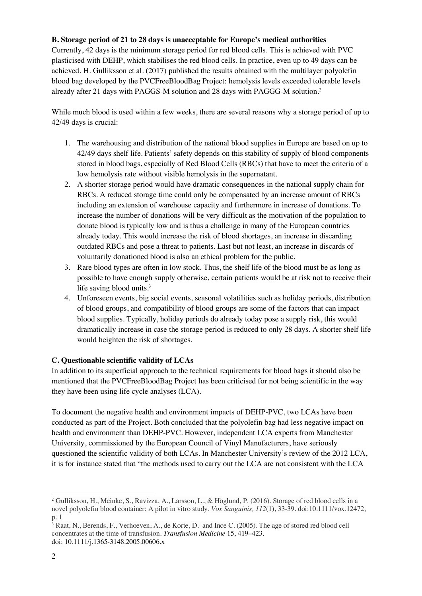#### **B. Storage period of 21 to 28 days is unacceptable for Europe's medical authorities**

Currently, 42 days is the minimum storage period for red blood cells. This is achieved with PVC plasticised with DEHP, which stabilises the red blood cells. In practice, even up to 49 days can be achieved. H. Gulliksson et al. (2017) published the results obtained with the multilayer polyolefin blood bag developed by the PVCFreeBloodBag Project: hemolysis levels exceeded tolerable levels already after 21 days with PAGGS-M solution and 28 days with PAGGG-M solution.<sup>2</sup>

While much blood is used within a few weeks, there are several reasons why a storage period of up to 42/49 days is crucial:

- 1. The warehousing and distribution of the national blood supplies in Europe are based on up to 42/49 days shelf life. Patients' safety depends on this stability of supply of blood components stored in blood bags, especially of Red Blood Cells (RBCs) that have to meet the criteria of a low hemolysis rate without visible hemolysis in the supernatant.
- 2. A shorter storage period would have dramatic consequences in the national supply chain for RBCs. A reduced storage time could only be compensated by an increase amount of RBCs including an extension of warehouse capacity and furthermore in increase of donations. To increase the number of donations will be very difficult as the motivation of the population to donate blood is typically low and is thus a challenge in many of the European countries already today. This would increase the risk of blood shortages, an increase in discarding outdated RBCs and pose a threat to patients. Last but not least, an increase in discards of voluntarily donationed blood is also an ethical problem for the public.
- 3. Rare blood types are often in low stock. Thus, the shelf life of the blood must be as long as possible to have enough supply otherwise, certain patients would be at risk not to receive their life saving blood units.<sup>3</sup>
- 4. Unforeseen events, big social events, seasonal volatilities such as holiday periods, distribution of blood groups, and compatibility of blood groups are some of the factors that can impact blood supplies. Typically, holiday periods do already today pose a supply risk, this would dramatically increase in case the storage period is reduced to only 28 days. A shorter shelf life would heighten the risk of shortages.

### **C. Questionable scientific validity of LCAs**

In addition to its superficial approach to the technical requirements for blood bags it should also be mentioned that the PVCFreeBloodBag Project has been criticised for not being scientific in the way they have been using life cycle analyses (LCA).

To document the negative health and environment impacts of DEHP-PVC, two LCAs have been conducted as part of the Project. Both concluded that the polyolefin bag had less negative impact on health and environment than DEHP-PVC. However, independent LCA experts from Manchester University, commissioned by the European Council of Vinyl Manufacturers, have seriously questioned the scientific validity of both LCAs. In Manchester University's review of the 2012 LCA, it is for instance stated that "the methods used to carry out the LCA are not consistent with the LCA

 $\overline{a}$ 

<sup>2</sup> Gulliksson, H., Meinke, S., Ravizza, A., Larsson, L., & Höglund, P. (2016). Storage of red blood cells in a novel polyolefin blood container: A pilot in vitro study. *Vox Sanguinis, 112*(1), 33-39. doi:10.1111/vox.12472, p. 1

<sup>3</sup> Raat, N., Berends, F., Verhoeven, A., de Korte, D. and Ince C. (2005). The age of stored red blood cell concentrates at the time of transfusion. *Transfusion Medicine* 15, 419–423. doi: 10.1111/j.1365-3148.2005.00606.x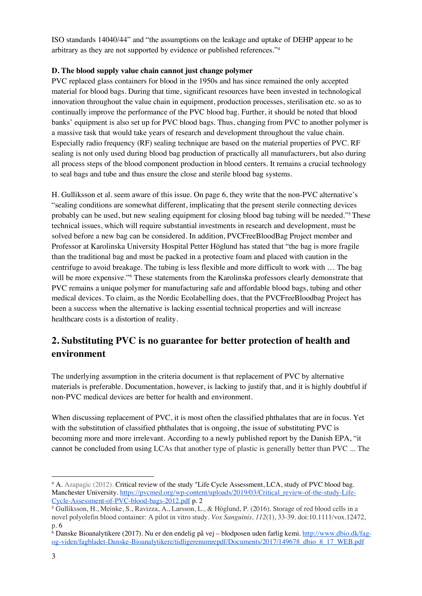ISO standards 14040/44" and "the assumptions on the leakage and uptake of DEHP appear to be arbitrary as they are not supported by evidence or published references."<sup>4</sup>

#### **D. The blood supply value chain cannot just change polymer**

PVC replaced glass containers for blood in the 1950s and has since remained the only accepted material for blood bags. During that time, significant resources have been invested in technological innovation throughout the value chain in equipment, production processes, sterilisation etc. so as to continually improve the performance of the PVC blood bag. Further, it should be noted that blood banks' equipment is also set up for PVC blood bags. Thus, changing from PVC to another polymer is a massive task that would take years of research and development throughout the value chain. Especially radio frequency (RF) sealing technique are based on the material properties of PVC. RF sealing is not only used during blood bag production of practically all manufacturers, but also during all process steps of the blood component production in blood centers. It remains a crucial technology to seal bags and tube and thus ensure the close and sterile blood bag systems.

H. Gulliksson et al. seem aware of this issue. On page 6, they write that the non-PVC alternative's "sealing conditions are somewhat different, implicating that the present sterile connecting devices probably can be used, but new sealing equipment for closing blood bag tubing will be needed."<sup>5</sup> These technical issues, which will require substantial investments in research and development, must be solved before a new bag can be considered. In addition, PVCFreeBloodBag Project member and Professor at Karolinska University Hospital Petter Höglund has stated that "the bag is more fragile than the traditional bag and must be packed in a protective foam and placed with caution in the centrifuge to avoid breakage. The tubing is less flexible and more difficult to work with … The bag will be more expensive."<sup>6</sup> These statements from the Karolinska professors clearly demonstrate that PVC remains a unique polymer for manufacturing safe and affordable blood bags, tubing and other medical devices. To claim, as the Nordic Ecolabelling does, that the PVCFreeBloodbag Project has been a success when the alternative is lacking essential technical properties and will increase healthcare costs is a distortion of reality.

# **2. Substituting PVC is no guarantee for better protection of health and environment**

The underlying assumption in the criteria document is that replacement of PVC by alternative materials is preferable. Documentation, however, is lacking to justify that, and it is highly doubtful if non-PVC medical devices are better for health and environment.

When discussing replacement of PVC, it is most often the classified phthalates that are in focus. Yet with the substitution of classified phthalates that is ongoing, the issue of substituting PVC is becoming more and more irrelevant. According to a newly published report by the Danish EPA, "it cannot be concluded from using LCAs that another type of plastic is generally better than PVC ... The

<sup>4</sup> A. Azapagic (2012). Critical review of the study "Life Cycle Assessment, LCA, study of PVC blood bag. Manchester University. https://pvcmed.org/wp-content/uploads/2019/03/Critical\_review-of-the-study-Life-Cycle-Assessment-of-PVC-blood-bags-2012.pdf p. 2

<sup>5</sup> Gulliksson, H., Meinke, S., Ravizza, A., Larsson, L., & Höglund, P. (2016). Storage of red blood cells in a novel polyolefin blood container: A pilot in vitro study. *Vox Sanguinis, 112*(1), 33-39. doi:10.1111/vox.12472, p. 6

<sup>&</sup>lt;sup>6</sup> Danske Bioanalytikere (2017). Nu er den endelig på vej – blodposen uden farlig kemi. http://www.dbio.dk/fagog-viden/fagbladet-Danske-Bioanalytikere/tidligerenumrepdf/Documents/2017/149678\_dbio\_8\_17\_WEB.pdf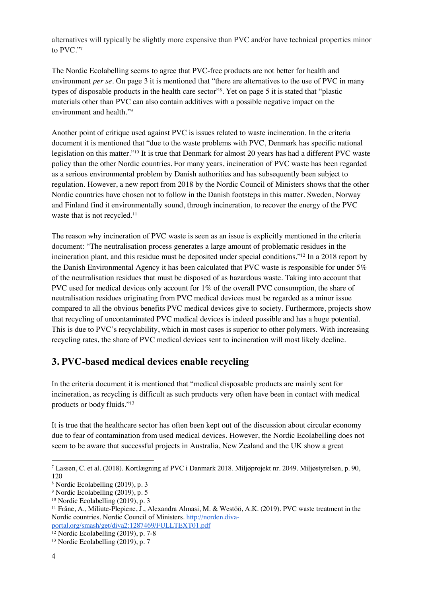alternatives will typically be slightly more expensive than PVC and/or have technical properties minor to PVC."<sup>7</sup>

The Nordic Ecolabelling seems to agree that PVC-free products are not better for health and environment *per se*. On page 3 it is mentioned that "there are alternatives to the use of PVC in many types of disposable products in the health care sector"<sup>8</sup> . Yet on page 5 it is stated that "plastic materials other than PVC can also contain additives with a possible negative impact on the environment and health."<sup>9</sup>

Another point of critique used against PVC is issues related to waste incineration. In the criteria document it is mentioned that "due to the waste problems with PVC, Denmark has specific national legislation on this matter."<sup>10</sup> It is true that Denmark for almost 20 years has had a different PVC waste policy than the other Nordic countries. For many years, incineration of PVC waste has been regarded as a serious environmental problem by Danish authorities and has subsequently been subject to regulation. However, a new report from 2018 by the Nordic Council of Ministers shows that the other Nordic countries have chosen not to follow in the Danish footsteps in this matter. Sweden, Norway and Finland find it environmentally sound, through incineration, to recover the energy of the PVC waste that is not recycled.<sup>11</sup>

The reason why incineration of PVC waste is seen as an issue is explicitly mentioned in the criteria document: "The neutralisation process generates a large amount of problematic residues in the incineration plant, and this residue must be deposited under special conditions."<sup>12</sup> In a 2018 report by the Danish Environmental Agency it has been calculated that PVC waste is responsible for under 5% of the neutralisation residues that must be disposed of as hazardous waste. Taking into account that PVC used for medical devices only account for 1% of the overall PVC consumption, the share of neutralisation residues originating from PVC medical devices must be regarded as a minor issue compared to all the obvious benefits PVC medical devices give to society. Furthermore, projects show that recycling of uncontaminated PVC medical devices is indeed possible and has a huge potential. This is due to PVC's recyclability, which in most cases is superior to other polymers. With increasing recycling rates, the share of PVC medical devices sent to incineration will most likely decline.

## **3. PVC-based medical devices enable recycling**

In the criteria document it is mentioned that "medical disposable products are mainly sent for incineration, as recycling is difficult as such products very often have been in contact with medical products or body fluids."<sup>13</sup>

It is true that the healthcare sector has often been kept out of the discussion about circular economy due to fear of contamination from used medical devices. However, the Nordic Ecolabelling does not seem to be aware that successful projects in Australia, New Zealand and the UK show a great

 $\overline{a}$ 

<sup>7</sup> Lassen, C. et al. (2018). Kortlægning af PVC i Danmark 2018. Miljøprojekt nr. 2049. Miljøstyrelsen, p. 90, 120

<sup>8</sup> Nordic Ecolabelling (2019), p. 3

<sup>9</sup> Nordic Ecolabelling (2019), p. 5

<sup>10</sup> Nordic Ecolabelling (2019), p. 3

<sup>11</sup> Fråne, A., Miliute-Plepiene, J., Alexandra Almasi, M. & Westöö, A.K. (2019). PVC waste treatment in the Nordic countries. Nordic Council of Ministers. http://norden.divaportal.org/smash/get/diva2:1287469/FULLTEXT01.pdf

 $12$  Nordic Ecolabelling (2019), p. 7-8

<sup>&</sup>lt;sup>13</sup> Nordic Ecolabelling (2019), p. 7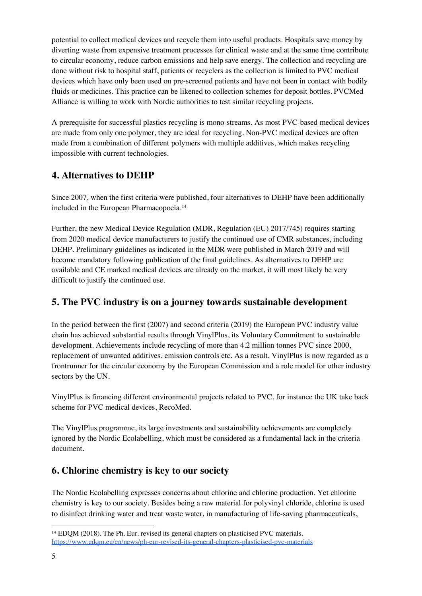potential to collect medical devices and recycle them into useful products. Hospitals save money by diverting waste from expensive treatment processes for clinical waste and at the same time contribute to circular economy, reduce carbon emissions and help save energy. The collection and recycling are done without risk to hospital staff, patients or recyclers as the collection is limited to PVC medical devices which have only been used on pre-screened patients and have not been in contact with bodily fluids or medicines. This practice can be likened to collection schemes for deposit bottles. PVCMed Alliance is willing to work with Nordic authorities to test similar recycling projects.

A prerequisite for successful plastics recycling is mono-streams. As most PVC-based medical devices are made from only one polymer, they are ideal for recycling. Non-PVC medical devices are often made from a combination of different polymers with multiple additives, which makes recycling impossible with current technologies.

## **4. Alternatives to DEHP**

Since 2007, when the first criteria were published, four alternatives to DEHP have been additionally included in the European Pharmacopoeia.<sup>14</sup>

Further, the new Medical Device Regulation (MDR, Regulation (EU) 2017/745) requires starting from 2020 medical device manufacturers to justify the continued use of CMR substances, including DEHP. Preliminary guidelines as indicated in the MDR were published in March 2019 and will become mandatory following publication of the final guidelines. As alternatives to DEHP are available and CE marked medical devices are already on the market, it will most likely be very difficult to justify the continued use.

# **5. The PVC industry is on a journey towards sustainable development**

In the period between the first (2007) and second criteria (2019) the European PVC industry value chain has achieved substantial results through VinylPlus, its Voluntary Commitment to sustainable development. Achievements include recycling of more than 4.2 million tonnes PVC since 2000, replacement of unwanted additives, emission controls etc. As a result, VinylPlus is now regarded as a frontrunner for the circular economy by the European Commission and a role model for other industry sectors by the UN.

VinylPlus is financing different environmental projects related to PVC, for instance the UK take back scheme for PVC medical devices, RecoMed.

The VinylPlus programme, its large investments and sustainability achievements are completely ignored by the Nordic Ecolabelling, which must be considered as a fundamental lack in the criteria document.

# **6. Chlorine chemistry is key to our society**

The Nordic Ecolabelling expresses concerns about chlorine and chlorine production. Yet chlorine chemistry is key to our society. Besides being a raw material for polyvinyl chloride, chlorine is used to disinfect drinking water and treat waste water, in manufacturing of life-saving pharmaceuticals,

<sup>&</sup>lt;sup>14</sup> EDQM (2018). The Ph. Eur. revised its general chapters on plasticised PVC materials. https://www.edqm.eu/en/news/ph-eur-revised-its-general-chapters-plasticised-pvc-materials